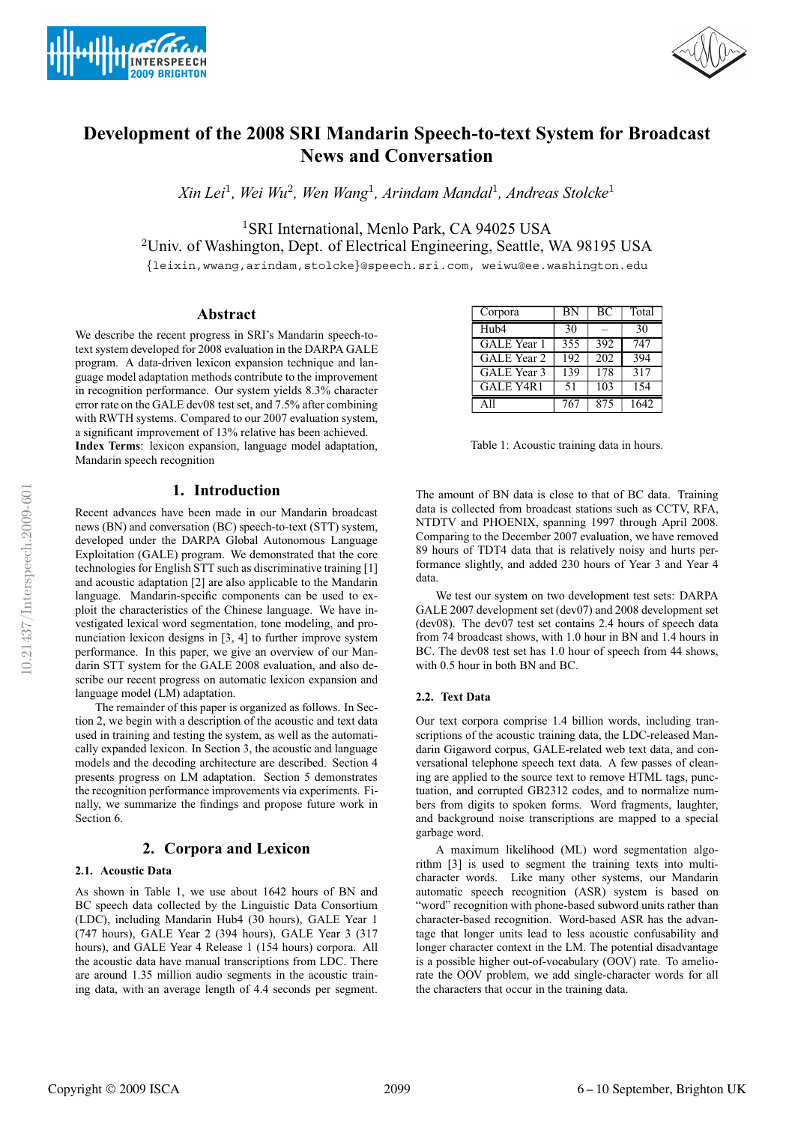



# **Development of the 2008 SRI Mandarin Speech-to-text System for Broadcast News and Conversation**

*Xin Lei*<sup>1</sup>*, Wei Wu*<sup>2</sup>*, Wen Wang*<sup>1</sup>*, Arindam Mandal*<sup>1</sup>*, Andreas Stolcke*<sup>1</sup>

<sup>1</sup>SRI International, Menlo Park, CA 94025 USA

<sup>2</sup>Univ. of Washington, Dept. of Electrical Engineering, Seattle, WA 98195 USA

{leixin,wwang,arindam,stolcke}@speech.sri.com, weiwu@ee.washington.edu

# **Abstract**

We describe the recent progress in SRI's Mandarin speech-totext system developed for 2008 evaluation in the DARPA GALE program. A data-driven lexicon expansion technique and language model adaptation methods contribute to the improvement in recognition performance. Our system yields 8.3% character error rate on the GALE dev08 test set, and 7.5% after combining with RWTH systems. Compared to our 2007 evaluation system, a significant improvement of 13% relative has been achieved.

**Index Terms**: lexicon expansion, language model adaptation, Mandarin speech recognition

# **1. Introduction**

Recent advances have been made in our Mandarin broadcast news (BN) and conversation (BC) speech-to-text (STT) system, developed under the DARPA Global Autonomous Language Exploitation (GALE) program. We demonstrated that the core technologies for English STT such as discriminative training [1] and acoustic adaptation [2] are also applicable to the Mandarin language. Mandarin-specific components can be used to exploit the characteristics of the Chinese language. We have investigated lexical word segmentation, tone modeling, and pronunciation lexicon designs in [3, 4] to further improve system performance. In this paper, we give an overview of our Mandarin STT system for the GALE 2008 evaluation, and also describe our recent progress on automatic lexicon expansion and language model (LM) adaptation.

The remainder of this paper is organized as follows. In Section 2, we begin with a description of the acoustic and text data used in training and testing the system, as well as the automatically expanded lexicon. In Section 3, the acoustic and language models and the decoding architecture are described. Section 4 presents progress on LM adaptation. Section 5 demonstrates the recognition performance improvements via experiments. Finally, we summarize the findings and propose future work in Section 6.

# **2. Corpora and Lexicon**

### **2.1. Acoustic Data**

As shown in Table 1, we use about 1642 hours of BN and BC speech data collected by the Linguistic Data Consortium (LDC), including Mandarin Hub4 (30 hours), GALE Year 1 (747 hours), GALE Year 2 (394 hours), GALE Year 3 (317 hours), and GALE Year 4 Release 1 (154 hours) corpora. All the acoustic data have manual transcriptions from LDC. There are around 1.35 million audio segments in the acoustic training data, with an average length of 4.4 seconds per segment.

| Corpora            | <b>BN</b> | BC  | Total |
|--------------------|-----------|-----|-------|
| Hub4               | 30        |     | 30    |
| <b>GALE</b> Year 1 | 355       | 392 | 747   |
| GALE Year 2        | 192       | 202 | 394   |
| GALE Year 3        | 139       | 178 | 317   |
| GALE Y4R1          | 51        | 103 | 154   |
| $\Delta$ 11        | 767       | 875 | 1642  |
|                    |           |     |       |

Table 1: Acoustic training data in hours.

The amount of BN data is close to that of BC data. Training data is collected from broadcast stations such as CCTV, RFA, NTDTV and PHOENIX, spanning 1997 through April 2008. Comparing to the December 2007 evaluation, we have removed 89 hours of TDT4 data that is relatively noisy and hurts performance slightly, and added 230 hours of Year 3 and Year 4 data.

We test our system on two development test sets: DARPA GALE 2007 development set (dev07) and 2008 development set (dev08). The dev07 test set contains 2.4 hours of speech data from 74 broadcast shows, with 1.0 hour in BN and 1.4 hours in BC. The dev08 test set has 1.0 hour of speech from 44 shows, with 0.5 hour in both BN and BC.

#### **2.2. Text Data**

Our text corpora comprise 1.4 billion words, including transcriptions of the acoustic training data, the LDC-released Mandarin Gigaword corpus, GALE-related web text data, and conversational telephone speech text data. A few passes of cleaning are applied to the source text to remove HTML tags, punctuation, and corrupted GB2312 codes, and to normalize numbers from digits to spoken forms. Word fragments, laughter, and background noise transcriptions are mapped to a special garbage word.

A maximum likelihood (ML) word segmentation algorithm [3] is used to segment the training texts into multicharacter words. Like many other systems, our Mandarin automatic speech recognition (ASR) system is based on "word" recognition with phone-based subword units rather than character-based recognition. Word-based ASR has the advantage that longer units lead to less acoustic confusability and longer character context in the LM. The potential disadvantage is a possible higher out-of-vocabulary (OOV) rate. To ameliorate the OOV problem, we add single-character words for all the characters that occur in the training data.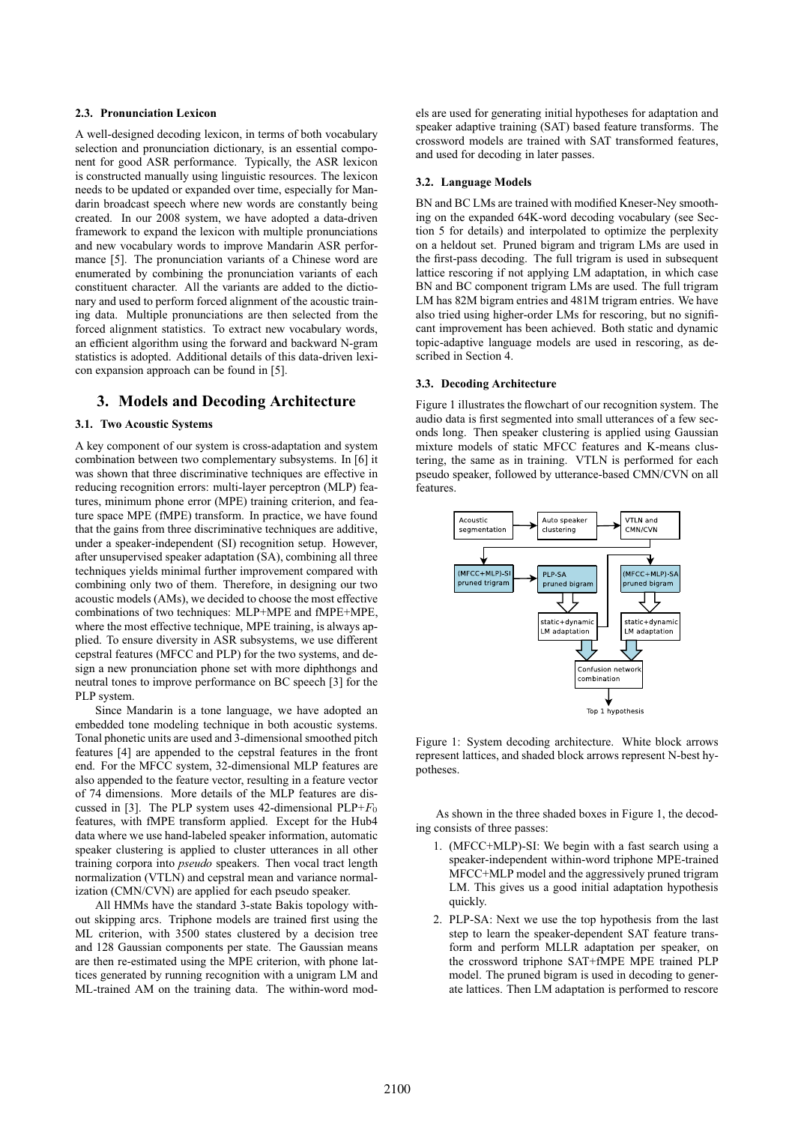### **2.3. Pronunciation Lexicon**

A well-designed decoding lexicon, in terms of both vocabulary selection and pronunciation dictionary, is an essential component for good ASR performance. Typically, the ASR lexicon is constructed manually using linguistic resources. The lexicon needs to be updated or expanded over time, especially for Mandarin broadcast speech where new words are constantly being created. In our 2008 system, we have adopted a data-driven framework to expand the lexicon with multiple pronunciations and new vocabulary words to improve Mandarin ASR performance [5]. The pronunciation variants of a Chinese word are enumerated by combining the pronunciation variants of each constituent character. All the variants are added to the dictionary and used to perform forced alignment of the acoustic training data. Multiple pronunciations are then selected from the forced alignment statistics. To extract new vocabulary words, an efficient algorithm using the forward and backward N-gram statistics is adopted. Additional details of this data-driven lexicon expansion approach can be found in [5].

# **3. Models and Decoding Architecture**

#### **3.1. Two Acoustic Systems**

A key component of our system is cross-adaptation and system combination between two complementary subsystems. In [6] it was shown that three discriminative techniques are effective in reducing recognition errors: multi-layer perceptron (MLP) features, minimum phone error (MPE) training criterion, and feature space MPE (fMPE) transform. In practice, we have found that the gains from three discriminative techniques are additive, under a speaker-independent (SI) recognition setup. However, after unsupervised speaker adaptation (SA), combining all three techniques yields minimal further improvement compared with combining only two of them. Therefore, in designing our two acoustic models (AMs), we decided to choose the most effective combinations of two techniques: MLP+MPE and fMPE+MPE, where the most effective technique, MPE training, is always applied. To ensure diversity in ASR subsystems, we use different cepstral features (MFCC and PLP) for the two systems, and design a new pronunciation phone set with more diphthongs and neutral tones to improve performance on BC speech [3] for the PLP system.

Since Mandarin is a tone language, we have adopted an embedded tone modeling technique in both acoustic systems. Tonal phonetic units are used and 3-dimensional smoothed pitch features [4] are appended to the cepstral features in the front end. For the MFCC system, 32-dimensional MLP features are also appended to the feature vector, resulting in a feature vector of 74 dimensions. More details of the MLP features are discussed in [3]. The PLP system uses 42-dimensional  $PLP+F_0$ features, with fMPE transform applied. Except for the Hub4 data where we use hand-labeled speaker information, automatic speaker clustering is applied to cluster utterances in all other training corpora into *pseudo* speakers. Then vocal tract length normalization (VTLN) and cepstral mean and variance normalization (CMN/CVN) are applied for each pseudo speaker.

All HMMs have the standard 3-state Bakis topology without skipping arcs. Triphone models are trained first using the ML criterion, with 3500 states clustered by a decision tree and 128 Gaussian components per state. The Gaussian means are then re-estimated using the MPE criterion, with phone lattices generated by running recognition with a unigram LM and ML-trained AM on the training data. The within-word models are used for generating initial hypotheses for adaptation and speaker adaptive training (SAT) based feature transforms. The crossword models are trained with SAT transformed features, and used for decoding in later passes.

#### **3.2. Language Models**

BN and BC LMs are trained with modified Kneser-Ney smoothing on the expanded 64K-word decoding vocabulary (see Section 5 for details) and interpolated to optimize the perplexity on a heldout set. Pruned bigram and trigram LMs are used in the first-pass decoding. The full trigram is used in subsequent lattice rescoring if not applying LM adaptation, in which case BN and BC component trigram LMs are used. The full trigram LM has 82M bigram entries and 481M trigram entries. We have also tried using higher-order LMs for rescoring, but no significant improvement has been achieved. Both static and dynamic topic-adaptive language models are used in rescoring, as described in Section 4.

#### **3.3. Decoding Architecture**

Figure 1 illustrates the flowchart of our recognition system. The audio data is first segmented into small utterances of a few seconds long. Then speaker clustering is applied using Gaussian mixture models of static MFCC features and K-means clustering, the same as in training. VTLN is performed for each pseudo speaker, followed by utterance-based CMN/CVN on all features.



Figure 1: System decoding architecture. White block arrows represent lattices, and shaded block arrows represent N-best hypotheses.

As shown in the three shaded boxes in Figure 1, the decoding consists of three passes:

- 1. (MFCC+MLP)-SI: We begin with a fast search using a speaker-independent within-word triphone MPE-trained MFCC+MLP model and the aggressively pruned trigram LM. This gives us a good initial adaptation hypothesis quickly.
- 2. PLP-SA: Next we use the top hypothesis from the last step to learn the speaker-dependent SAT feature transform and perform MLLR adaptation per speaker, on the crossword triphone SAT+fMPE MPE trained PLP model. The pruned bigram is used in decoding to generate lattices. Then LM adaptation is performed to rescore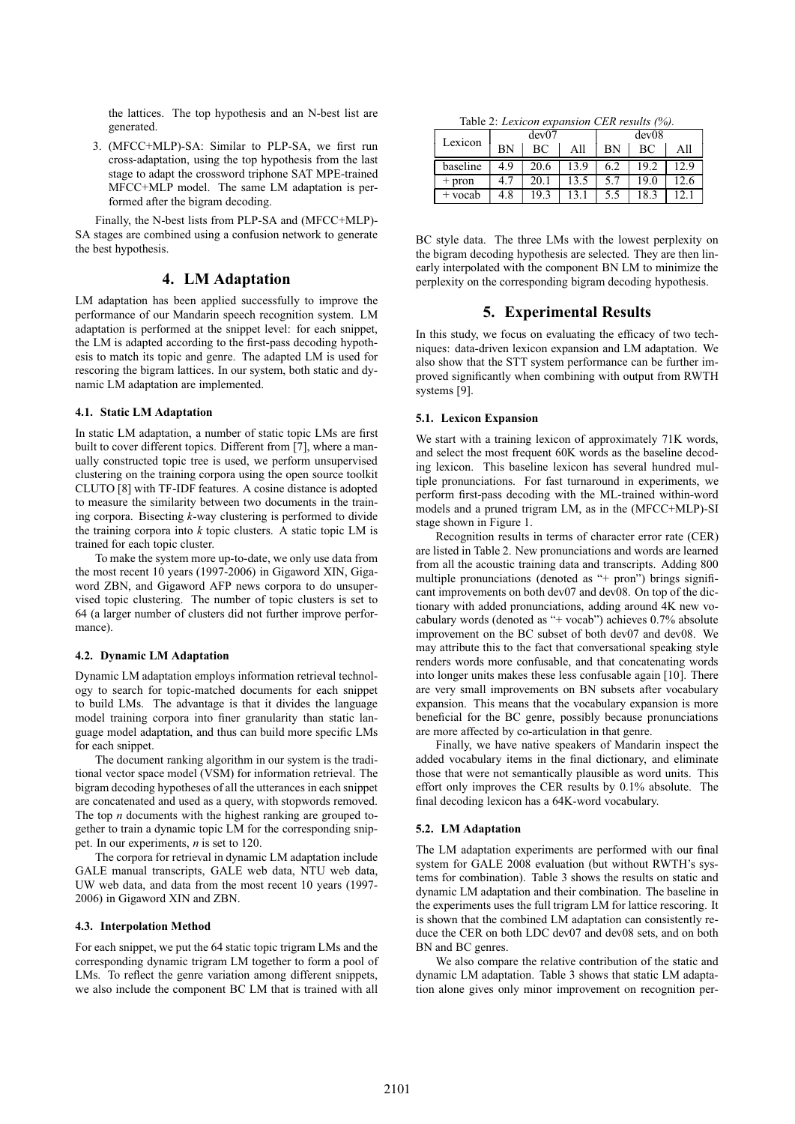the lattices. The top hypothesis and an N-best list are generated.

3. (MFCC+MLP)-SA: Similar to PLP-SA, we first run cross-adaptation, using the top hypothesis from the last stage to adapt the crossword triphone SAT MPE-trained MFCC+MLP model. The same LM adaptation is performed after the bigram decoding.

Finally, the N-best lists from PLP-SA and (MFCC+MLP)- SA stages are combined using a confusion network to generate the best hypothesis.

# **4. LM Adaptation**

LM adaptation has been applied successfully to improve the performance of our Mandarin speech recognition system. LM adaptation is performed at the snippet level: for each snippet, the LM is adapted according to the first-pass decoding hypothesis to match its topic and genre. The adapted LM is used for rescoring the bigram lattices. In our system, both static and dynamic LM adaptation are implemented.

#### **4.1. Static LM Adaptation**

In static LM adaptation, a number of static topic LMs are first built to cover different topics. Different from [7], where a manually constructed topic tree is used, we perform unsupervised clustering on the training corpora using the open source toolkit CLUTO [8] with TF-IDF features. A cosine distance is adopted to measure the similarity between two documents in the training corpora. Bisecting *k*-way clustering is performed to divide the training corpora into *k* topic clusters. A static topic LM is trained for each topic cluster.

To make the system more up-to-date, we only use data from the most recent 10 years (1997-2006) in Gigaword XIN, Gigaword ZBN, and Gigaword AFP news corpora to do unsupervised topic clustering. The number of topic clusters is set to 64 (a larger number of clusters did not further improve performance).

#### **4.2. Dynamic LM Adaptation**

Dynamic LM adaptation employs information retrieval technology to search for topic-matched documents for each snippet to build LMs. The advantage is that it divides the language model training corpora into finer granularity than static language model adaptation, and thus can build more specific LMs for each snippet.

The document ranking algorithm in our system is the traditional vector space model (VSM) for information retrieval. The bigram decoding hypotheses of all the utterances in each snippet are concatenated and used as a query, with stopwords removed. The top *n* documents with the highest ranking are grouped together to train a dynamic topic LM for the corresponding snippet. In our experiments, *n* is set to 120.

The corpora for retrieval in dynamic LM adaptation include GALE manual transcripts, GALE web data, NTU web data, UW web data, and data from the most recent 10 years (1997- 2006) in Gigaword XIN and ZBN.

#### **4.3. Interpolation Method**

For each snippet, we put the 64 static topic trigram LMs and the corresponding dynamic trigram LM together to form a pool of LMs. To reflect the genre variation among different snippets, we also include the component BC LM that is trained with all

Table 2: *Lexicon expansion CER results (%).*

| dev07<br>Lexicon |     |      | dev08 |     |      |      |
|------------------|-----|------|-------|-----|------|------|
|                  | ΒN  | ВC   | All   | BN  | ВC   | All  |
| baseline         | 49  | 20.6 | 13.9  | 6.2 | 19.2 | 12.9 |
| pron             | 4.7 | 20.1 | 13.5  | 5.7 | 19.0 | 12.6 |
| vocab            | 4.8 | 19.3 |       | 5.5 | 18.3 |      |

BC style data. The three LMs with the lowest perplexity on the bigram decoding hypothesis are selected. They are then linearly interpolated with the component BN LM to minimize the perplexity on the corresponding bigram decoding hypothesis.

# **5. Experimental Results**

In this study, we focus on evaluating the efficacy of two techniques: data-driven lexicon expansion and LM adaptation. We also show that the STT system performance can be further improved significantly when combining with output from RWTH systems [9].

# **5.1. Lexicon Expansion**

We start with a training lexicon of approximately 71K words, and select the most frequent 60K words as the baseline decoding lexicon. This baseline lexicon has several hundred multiple pronunciations. For fast turnaround in experiments, we perform first-pass decoding with the ML-trained within-word models and a pruned trigram LM, as in the (MFCC+MLP)-SI stage shown in Figure 1.

Recognition results in terms of character error rate (CER) are listed in Table 2. New pronunciations and words are learned from all the acoustic training data and transcripts. Adding 800 multiple pronunciations (denoted as "+ pron") brings significant improvements on both dev07 and dev08. On top of the dictionary with added pronunciations, adding around 4K new vocabulary words (denoted as "+ vocab") achieves 0.7% absolute improvement on the BC subset of both dev07 and dev08. We may attribute this to the fact that conversational speaking style renders words more confusable, and that concatenating words into longer units makes these less confusable again [10]. There are very small improvements on BN subsets after vocabulary expansion. This means that the vocabulary expansion is more beneficial for the BC genre, possibly because pronunciations are more affected by co-articulation in that genre.

Finally, we have native speakers of Mandarin inspect the added vocabulary items in the final dictionary, and eliminate those that were not semantically plausible as word units. This effort only improves the CER results by 0.1% absolute. The final decoding lexicon has a 64K-word vocabulary.

# **5.2. LM Adaptation**

The LM adaptation experiments are performed with our final system for GALE 2008 evaluation (but without RWTH's systems for combination). Table 3 shows the results on static and dynamic LM adaptation and their combination. The baseline in the experiments uses the full trigram LM for lattice rescoring. It is shown that the combined LM adaptation can consistently reduce the CER on both LDC dev07 and dev08 sets, and on both BN and BC genres.

We also compare the relative contribution of the static and dynamic LM adaptation. Table 3 shows that static LM adaptation alone gives only minor improvement on recognition per-